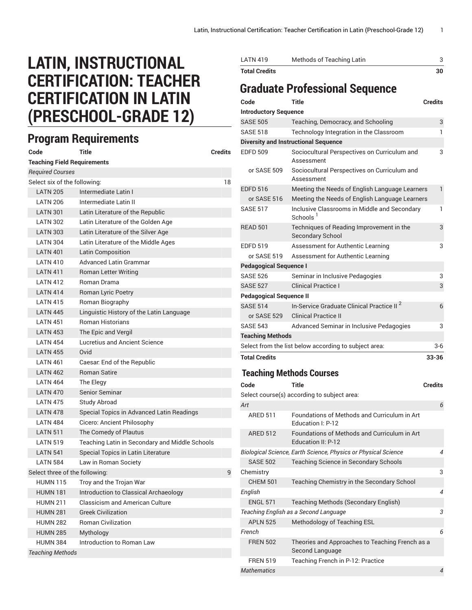## **LATIN, INSTRUCTIONAL CERTIFICATION: TEACHER CERTIFICATION IN LATIN (PRESCHOOL-GRADE 12)**

## **Program Requirements**

| Code                               | Title                                          | <b>Credits</b> |
|------------------------------------|------------------------------------------------|----------------|
| <b>Teaching Field Requirements</b> |                                                |                |
| <b>Required Courses</b>            |                                                |                |
| Select six of the following:       |                                                | 18             |
| <b>LATN 205</b>                    | Intermediate Latin I                           |                |
| <b>LATN 206</b>                    | Intermediate Latin II                          |                |
| <b>LATN 301</b>                    | Latin Literature of the Republic               |                |
| <b>LATN 302</b>                    | Latin Literature of the Golden Age             |                |
| <b>LATN 303</b>                    | Latin Literature of the Silver Age             |                |
| <b>LATN 304</b>                    | Latin Literature of the Middle Ages            |                |
| <b>LATN 401</b>                    | <b>Latin Composition</b>                       |                |
| <b>LATN 410</b>                    | <b>Advanced Latin Grammar</b>                  |                |
| <b>LATN 411</b>                    | Roman Letter Writing                           |                |
| <b>LATN 412</b>                    | Roman Drama                                    |                |
| <b>LATN 414</b>                    | Roman Lyric Poetry                             |                |
| <b>LATN 415</b>                    | Roman Biography                                |                |
| <b>LATN 445</b>                    | Linguistic History of the Latin Language       |                |
| <b>I ATN 451</b>                   | <b>Roman Historians</b>                        |                |
| <b>LATN 453</b>                    | The Epic and Vergil                            |                |
| <b>I ATN 454</b>                   | Lucretius and Ancient Science                  |                |
| <b>LATN 455</b>                    | Ovid                                           |                |
| <b>LATN 461</b>                    | Caesar. End of the Republic                    |                |
| <b>LATN 462</b>                    | <b>Roman Satire</b>                            |                |
| <b>LATN 464</b>                    | The Elegy                                      |                |
| <b>LATN 470</b>                    | Senior Seminar                                 |                |
| <b>LATN 475</b>                    | <b>Study Abroad</b>                            |                |
| <b>LATN 478</b>                    | Special Topics in Advanced Latin Readings      |                |
| <b>LATN 484</b>                    | Cicero: Ancient Philosophy                     |                |
| <b>LATN 511</b>                    | The Comedy of Plautus                          |                |
| <b>LATN 519</b>                    | Teaching Latin in Secondary and Middle Schools |                |
| <b>LATN 541</b>                    | Special Topics in Latin Literature             |                |
| <b>LATN 584</b>                    | Law in Roman Society                           |                |
| Select three of the following:     |                                                | 9              |
| <b>HUMN 115</b>                    | Troy and the Trojan War                        |                |
| <b>HUMN 181</b>                    | Introduction to Classical Archaeology          |                |
| <b>HUMN 211</b>                    | <b>Classicism and American Culture</b>         |                |
| <b>HUMN 281</b>                    | <b>Greek Civilization</b>                      |                |
| <b>HUMN 282</b>                    | <b>Roman Civilization</b>                      |                |
| <b>HUMN 285</b>                    | Mythology                                      |                |
| <b>HUMN 384</b>                    | Introduction to Roman Law                      |                |
| <b>Teaching Methods</b>            |                                                |                |

| <b>LATN 419</b>                | Methods of Teaching Latin                                            | 3              |
|--------------------------------|----------------------------------------------------------------------|----------------|
| <b>Total Credits</b>           |                                                                      | 30             |
|                                | <b>Graduate Professional Sequence</b>                                |                |
| Code                           | Title                                                                | <b>Credits</b> |
| <b>Introductory Sequence</b>   |                                                                      |                |
| <b>SASE 505</b>                | Teaching, Democracy, and Schooling                                   | 3              |
| <b>SASE 518</b>                | Technology Integration in the Classroom                              | 1              |
|                                | <b>Diversity and Instructional Sequence</b>                          |                |
| <b>EDFD 509</b>                | Sociocultural Perspectives on Curriculum and<br>Assessment           | 3              |
| or SASE 509                    | Sociocultural Perspectives on Curriculum and<br>Assessment           |                |
| <b>EDFD 516</b>                | Meeting the Needs of English Language Learners                       | $\mathbf{1}$   |
| or SASE 516                    | Meeting the Needs of English Language Learners                       |                |
| <b>SASE 517</b>                | Inclusive Classrooms in Middle and Secondary<br>Schools <sup>1</sup> | 1              |
| <b>READ 501</b>                | Techniques of Reading Improvement in the<br><b>Secondary School</b>  | 3              |
| <b>EDFD 519</b>                | Assessment for Authentic Learning                                    | 3              |
| or SASE 519                    | Assessment for Authentic Learning                                    |                |
| <b>Pedagogical Sequence I</b>  |                                                                      |                |
| <b>SASE 526</b>                | Seminar in Inclusive Pedagogies                                      | 3              |
| <b>SASE 527</b>                | <b>Clinical Practice I</b>                                           | 3              |
| <b>Pedagogical Sequence II</b> |                                                                      |                |
| <b>SASE 514</b>                | In-Service Graduate Clinical Practice II <sup>2</sup>                | 6              |
| or SASE 529                    | <b>Clinical Practice II</b>                                          |                |
| <b>SASE 543</b>                | Advanced Seminar in Inclusive Pedagogies                             | 3              |
| <b>Teaching Methods</b>        |                                                                      |                |
|                                | Select from the list below according to subject area:                | 3-6            |
| <b>Total Credits</b>           |                                                                      | 33-36          |
|                                | <b>Teaching Methods Courses</b>                                      |                |
| Code                           | <b>Title</b>                                                         | <b>Credits</b> |
|                                | Select course(s) according to subject area:                          |                |
| Art                            |                                                                      | 6              |
| <b>ARED 511</b>                | Foundations of Methods and Curriculum in Art<br>Education I: P-12    |                |

|                                       | Education I: P-12                                                  |   |
|---------------------------------------|--------------------------------------------------------------------|---|
| <b>ARED 512</b>                       | Foundations of Methods and Curriculum in Art<br>Education II: P-12 |   |
|                                       | Biological Science, Earth Science, Physics or Physical Science     | 4 |
| <b>SASE 502</b>                       | <b>Teaching Science in Secondary Schools</b>                       |   |
| Chemistry                             |                                                                    | 3 |
| <b>CHEM 501</b>                       | Teaching Chemistry in the Secondary School                         |   |
| English                               |                                                                    | 4 |
| <b>ENGL 571</b>                       | <b>Teaching Methods (Secondary English)</b>                        |   |
| Teaching English as a Second Language |                                                                    |   |
| <b>APLN 525</b>                       | Methodology of Teaching ESL                                        |   |
| French                                |                                                                    | 6 |
| <b>FREN 502</b>                       | Theories and Approaches to Teaching French as a<br>Second Language |   |
| <b>FREN 519</b>                       | Teaching French in P-12: Practice                                  |   |
| <b>Mathematics</b>                    |                                                                    |   |